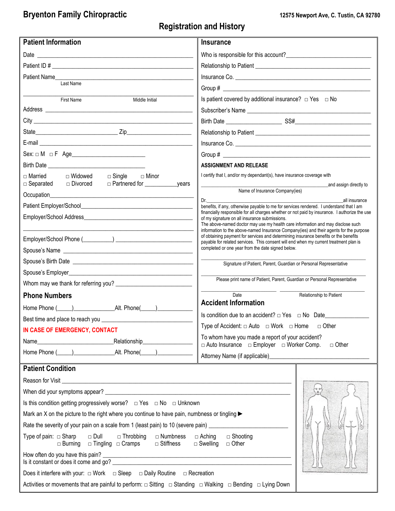## **Bryenton Family Chiropractic 12575 Newport Ave, C. Tustin, CA 92780**

## **Registration and History**

| <b>Patient Information</b>                                                                                                                                                                                                     | <b>Insurance</b>                                                                                                                                                               |  |  |
|--------------------------------------------------------------------------------------------------------------------------------------------------------------------------------------------------------------------------------|--------------------------------------------------------------------------------------------------------------------------------------------------------------------------------|--|--|
|                                                                                                                                                                                                                                |                                                                                                                                                                                |  |  |
|                                                                                                                                                                                                                                |                                                                                                                                                                                |  |  |
| Patient Name                                                                                                                                                                                                                   |                                                                                                                                                                                |  |  |
| Last Name                                                                                                                                                                                                                      |                                                                                                                                                                                |  |  |
| Middle Initial<br>First Name                                                                                                                                                                                                   | Is patient covered by additional insurance? $\Box$ Yes $\Box$ No                                                                                                               |  |  |
| Address experiences and a series of the series of the series of the series of the series of the series of the                                                                                                                  | Subscriber's Name                                                                                                                                                              |  |  |
|                                                                                                                                                                                                                                |                                                                                                                                                                                |  |  |
|                                                                                                                                                                                                                                |                                                                                                                                                                                |  |  |
|                                                                                                                                                                                                                                |                                                                                                                                                                                |  |  |
| $Sex: \Box M \Box F \ Age$                                                                                                                                                                                                     |                                                                                                                                                                                |  |  |
|                                                                                                                                                                                                                                | <b>ASSIGNMENT AND RELEASE</b>                                                                                                                                                  |  |  |
| $\Box$ Married<br>□ Widowed<br>$\Box$ Single<br>□ Minor<br>□ Divorced<br>$\Box$ Separated                                                                                                                                      | I certify that I, and/or my dependant(s), have insurance coverage with                                                                                                         |  |  |
|                                                                                                                                                                                                                                | and assign directly to<br>Name of Insurance Company(ies)                                                                                                                       |  |  |
|                                                                                                                                                                                                                                | Dr.<br>all insurance<br>benefits, if any, otherwise payable to me for services rendered. I understand that I am                                                                |  |  |
|                                                                                                                                                                                                                                | financially responsible for all charges whether or not paid by insurance. I authorize the use                                                                                  |  |  |
|                                                                                                                                                                                                                                | of my signature on all insurance submissions.<br>The above-named doctor may use my health care information and may disclose such                                               |  |  |
|                                                                                                                                                                                                                                | information to the above-named Insurance Company(ies) and their agents for the purpose<br>of obtaining payment for services and determining insurance benefits or the benefits |  |  |
|                                                                                                                                                                                                                                | payable for related services. This consent will end when my current treatment plan is<br>completed or one year from the date signed below.                                     |  |  |
|                                                                                                                                                                                                                                |                                                                                                                                                                                |  |  |
|                                                                                                                                                                                                                                | Signature of Patient, Parent, Guardian or Personal Representative                                                                                                              |  |  |
|                                                                                                                                                                                                                                | Please print name of Patient, Parent, Guardian or Personal Representative                                                                                                      |  |  |
| <b>Phone Numbers</b>                                                                                                                                                                                                           | Date<br>Relationship to Patient                                                                                                                                                |  |  |
|                                                                                                                                                                                                                                | <b>Accident Information</b>                                                                                                                                                    |  |  |
|                                                                                                                                                                                                                                | Is condition due to an accident? □ Yes □ No Date_______                                                                                                                        |  |  |
| Best time and place to reach you                                                                                                                                                                                               | Type of Accident: $\Box$ Auto $\Box$ Work $\Box$ Home $\Box$ Other                                                                                                             |  |  |
| IN CASE OF EMERGENCY, CONTACT                                                                                                                                                                                                  | To whom have you made a report of your accident?                                                                                                                               |  |  |
|                                                                                                                                                                                                                                | □ Auto Insurance □ Employer □ Worker Comp.<br>$\Box$ Other                                                                                                                     |  |  |
|                                                                                                                                                                                                                                |                                                                                                                                                                                |  |  |
| <b>Patient Condition</b>                                                                                                                                                                                                       |                                                                                                                                                                                |  |  |
| Reason for Visit Leasent Contract Contract Contract Contract Contract Contract Contract Contract Contract Contract Contract Contract Contract Contract Contract Contract Contract Contract Contract Contract Contract Contract |                                                                                                                                                                                |  |  |
|                                                                                                                                                                                                                                | $\begin{pmatrix} 7 & 3 \\ 7 & 1 \end{pmatrix}$                                                                                                                                 |  |  |
| Is this condition getting progressively worse? $\Box$ Yes $\Box$ No $\Box$ Unknown                                                                                                                                             |                                                                                                                                                                                |  |  |
| Mark an X on the picture to the right where you continue to have pain, numbness or tingling >                                                                                                                                  |                                                                                                                                                                                |  |  |
| Rate the severity of your pain on a scale from 1 (least pain) to 10 (severe pain) __________________                                                                                                                           |                                                                                                                                                                                |  |  |
| $\Box$ Dull<br>Type of pain: $\Box$ Sharp<br>$\Box$ Throbbing $\Box$ Numbness<br>□ Burning □ Tingling □ Cramps □ Stiffness                                                                                                     | $\Box$ Aching $\Box$ Shooting<br>$\Box$ Swelling $\Box$ Other                                                                                                                  |  |  |
| How often do you have this pain?<br>Is it constant or does it come and go?                                                                                                                                                     |                                                                                                                                                                                |  |  |
| Does it interfere with your: $\Box$ Work $\Box$ Sleep $\Box$ Daily Routine $\Box$ Recreation                                                                                                                                   |                                                                                                                                                                                |  |  |
| Activities or movements that are painful to perform: $\Box$ Sitting $\Box$ Standing $\Box$ Walking $\Box$ Bending $\Box$ Lying Down                                                                                            |                                                                                                                                                                                |  |  |